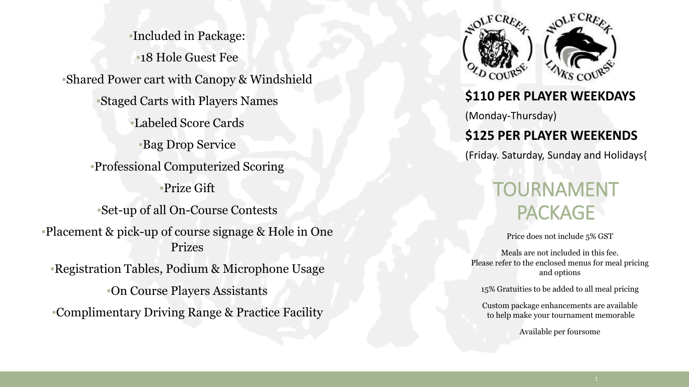▪Included in Package: ▪18 Hole Guest Fee ▪Shared Power cart with Canopy & Windshield ▪Staged Carts with Players Names ▪Labeled Score Cards **Bag Drop Service** ▪Professional Computerized Scoring ▪Prize Gift ▪Set-up of all On-Course Contests ▪Placement & pick-up of course signage & Hole in One Prizes ▪Registration Tables, Podium & Microphone Usage ▪On Course Players Assistants ▪Complimentary Driving Range & Practice Facility



### **\$110 PER PLAYER WEEKDAYS**

(Monday-Thursday)

## **\$125 PER PLAYER WEEKENDS**

(Friday. Saturday, Sunday and Holidays{

## TOURNAMENT **PACKAGE**

Price does not include 5% GST

Meals are not included in this fee. Please refer to the enclosed menus for meal pricing and options

15% Gratuities to be added to all meal pricing

Custom package enhancements are available to help make your tournament memorable

Available per foursome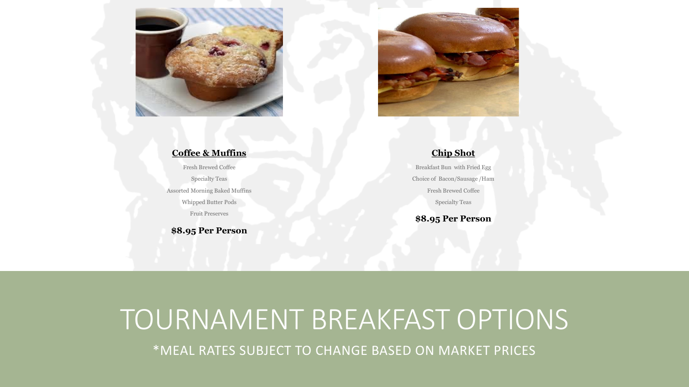



#### **Coffee & Muffins**

Fresh Brewed Coffee Specialty Teas Assorted Morning Baked Muffins Whipped Butter Pods Fruit Preserves

**\$8.95 Per Person**

#### **Chip Shot**

Breakfast Bun with Fried Egg Choice of Bacon/Sausage /Ham Fresh Brewed Coffee Specialty Teas

**\$8.95 Per Person**

# TOURNAMENT BREAKFAST OPTIONS

\*MEAL RATES SUBJECT TO CHANGE BASED ON MARKET PRICES